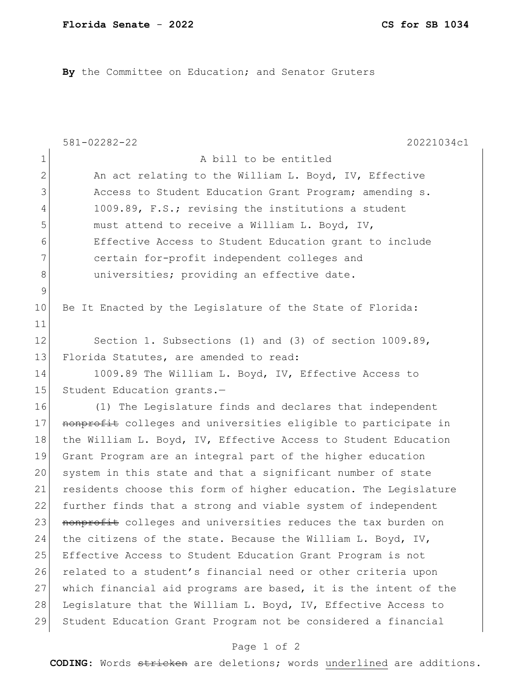By the Committee on Education; and Senator Gruters

|              | $581 - 02282 - 22$<br>20221034c1                                |
|--------------|-----------------------------------------------------------------|
| $1\,$        | A bill to be entitled                                           |
| $\mathbf{2}$ | An act relating to the William L. Boyd, IV, Effective           |
| 3            | Access to Student Education Grant Program; amending s.          |
| 4            | 1009.89, F.S.; revising the institutions a student              |
| 5            | must attend to receive a William L. Boyd, IV,                   |
| 6            | Effective Access to Student Education grant to include          |
| 7            | certain for-profit independent colleges and                     |
| 8            | universities; providing an effective date.                      |
| $\mathsf 9$  |                                                                 |
| 10           | Be It Enacted by the Legislature of the State of Florida:       |
| 11           |                                                                 |
| 12           | Section 1. Subsections (1) and (3) of section 1009.89,          |
| 13           | Florida Statutes, are amended to read:                          |
| 14           | 1009.89 The William L. Boyd, IV, Effective Access to            |
| 15           | Student Education grants.-                                      |
| 16           | (1) The Legislature finds and declares that independent         |
| 17           | nonprofit colleges and universities eligible to participate in  |
| 18           | the William L. Boyd, IV, Effective Access to Student Education  |
| 19           | Grant Program are an integral part of the higher education      |
| 20           | system in this state and that a significant number of state     |
| 21           | residents choose this form of higher education. The Legislature |
| 22           | further finds that a strong and viable system of independent    |
| 23           | nonprofit colleges and universities reduces the tax burden on   |
| 24           | the citizens of the state. Because the William L. Boyd, IV,     |
| 25           | Effective Access to Student Education Grant Program is not      |
| 26           | related to a student's financial need or other criteria upon    |
| 27           | which financial aid programs are based, it is the intent of the |
| 28           | Legislature that the William L. Boyd, IV, Effective Access to   |
| 29           | Student Education Grant Program not be considered a financial   |

## Page 1 of 2

**CODING**: Words stricken are deletions; words underlined are additions.